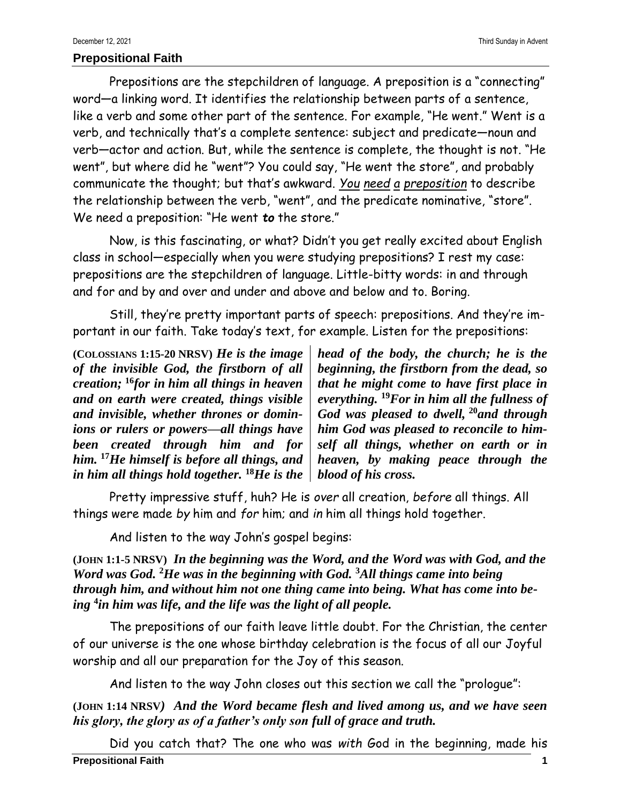## **Prepositional Faith**

Prepositions are the stepchildren of language. A preposition is a "connecting" word—a linking word. It identifies the relationship between parts of a sentence, like a verb and some other part of the sentence. For example, "He went." Went is a verb, and technically that's a complete sentence: subject and predicate—noun and verb—actor and action. But, while the sentence is complete, the thought is not. "He went", but where did he "went"? You could say, "He went the store", and probably communicate the thought; but that's awkward. *You need a preposition* to describe the relationship between the verb, "went", and the predicate nominative, "store". We need a preposition: "He went *to* the store."

Now, is this fascinating, or what? Didn't you get really excited about English class in school—especially when you were studying prepositions? I rest my case: prepositions are the stepchildren of language. Little-bitty words: in and through and for and by and over and under and above and below and to. Boring.

Still, they're pretty important parts of speech: prepositions. And they're important in our faith. Take today's text, for example. Listen for the prepositions:

**(COLOSSIANS 1:15-20 NRSV)** *He is the image of the invisible God, the firstborn of all creation;* **<sup>16</sup>***for in him all things in heaven and on earth were created, things visible and invisible, whether thrones or dominions or rulers or powers—all things have been created through him and for him.* **<sup>17</sup>***He himself is before all things, and in him all things hold together.* **<sup>18</sup>***He is the* 

*head of the body, the church; he is the beginning, the firstborn from the dead, so that he might come to have first place in everything.* **<sup>19</sup>***For in him all the fullness of God was pleased to dwell,* **<sup>20</sup>***and through him God was pleased to reconcile to himself all things, whether on earth or in heaven, by making peace through the blood of his cross.*

Pretty impressive stuff, huh? He is *over* all creation, *before* all things. All things were made *by* him and *for* him; and *in* him all things hold together.

And listen to the way John's gospel begins:

**(JOHN 1:1-5 NRSV)** *In the beginning was the Word, and the Word was with God, and the Word was God.* **<sup>2</sup>***He was in the beginning with God.* **<sup>3</sup>***All things came into being through him, and without him not one thing came into being. What has come into being* **<sup>4</sup>** *in him was life, and the life was the light of all people.*

The prepositions of our faith leave little doubt. For the Christian, the center of our universe is the one whose birthday celebration is the focus of all our Joyful worship and all our preparation for the Joy of this season.

And listen to the way John closes out this section we call the "prologue":

**(JOHN 1:14 NRSV***) And the Word became flesh and lived among us, and we have seen his glory, the glory as of a father's only son full of grace and truth.*

**Prepositional Faith 1** Did you catch that? The one who was *with* God in the beginning, made his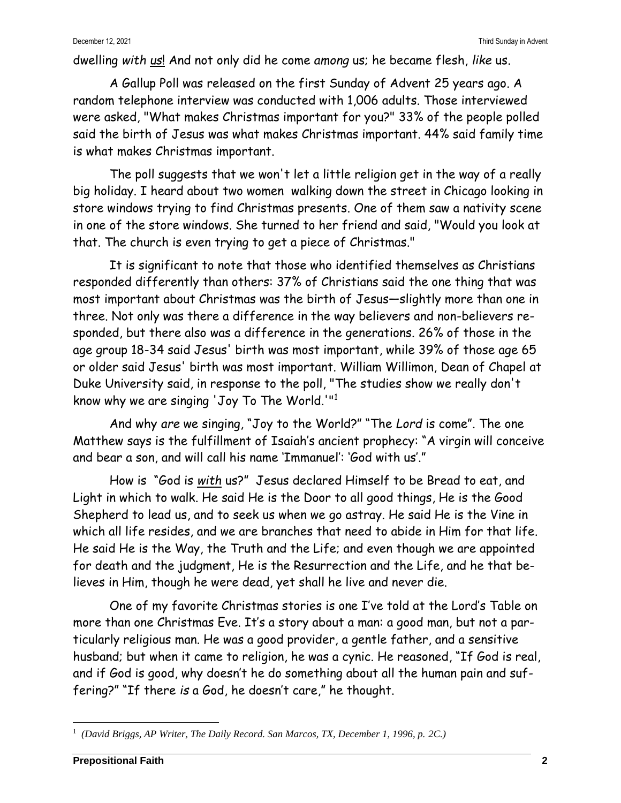dwelling *with us*! And not only did he come *among* us; he became flesh, *like* us.

A Gallup Poll was released on the first Sunday of Advent 25 years ago. A random telephone interview was conducted with 1,006 adults. Those interviewed were asked, "What makes Christmas important for you?" 33% of the people polled said the birth of Jesus was what makes Christmas important. 44% said family time is what makes Christmas important.

The poll suggests that we won't let a little religion get in the way of a really big holiday. I heard about two women walking down the street in Chicago looking in store windows trying to find Christmas presents. One of them saw a nativity scene in one of the store windows. She turned to her friend and said, "Would you look at that. The church is even trying to get a piece of Christmas."

It is significant to note that those who identified themselves as Christians responded differently than others: 37% of Christians said the one thing that was most important about Christmas was the birth of Jesus—slightly more than one in three. Not only was there a difference in the way believers and non-believers responded, but there also was a difference in the generations. 26% of those in the age group 18-34 said Jesus' birth was most important, while 39% of those age 65 or older said Jesus' birth was most important. William Willimon, Dean of Chapel at Duke University said, in response to the poll, "The studies show we really don't know why we are singing 'Joy To The World.'"<sup>1</sup>

And why *are* we singing, "Joy to the World?" "The *Lord* is come". The one Matthew says is the fulfillment of Isaiah's ancient prophecy: "A virgin will conceive and bear a son, and will call his name 'Immanuel': 'God with us'."

How is "God is *with* us?" Jesus declared Himself to be Bread to eat, and Light in which to walk. He said He is the Door to all good things, He is the Good Shepherd to lead us, and to seek us when we go astray. He said He is the Vine in which all life resides, and we are branches that need to abide in Him for that life. He said He is the Way, the Truth and the Life; and even though we are appointed for death and the judgment, He is the Resurrection and the Life, and he that believes in Him, though he were dead, yet shall he live and never die.

One of my favorite Christmas stories is one I've told at the Lord's Table on more than one Christmas Eve. It's a story about a man: a good man, but not a particularly religious man. He was a good provider, a gentle father, and a sensitive husband; but when it came to religion, he was a cynic. He reasoned, "If God is real, and if God is good, why doesn't he do something about all the human pain and suffering?" "If there *is* a God, he doesn't care," he thought.

<sup>1</sup> *(David Briggs, AP Writer, The Daily Record. San Marcos, TX, December 1, 1996, p. 2C.)*